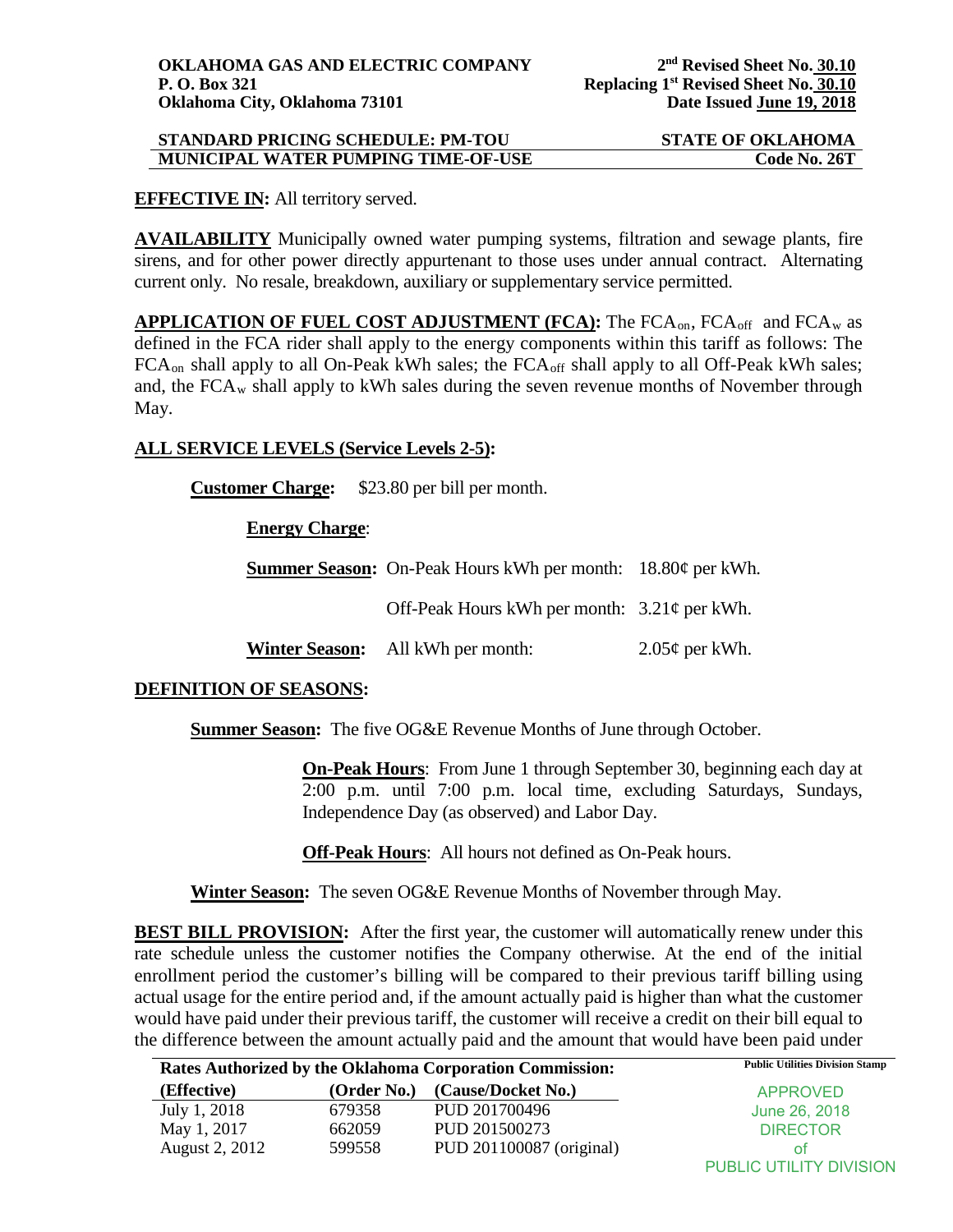## **STANDARD PRICING SCHEDULE: PM-TOU STATE OF OKLAHOMA MUNICIPAL WATER PUMPING TIME-OF-USE Code No. 26T**

### **EFFECTIVE IN:** All territory served.

**AVAILABILITY** Municipally owned water pumping systems, filtration and sewage plants, fire sirens, and for other power directly appurtenant to those uses under annual contract. Alternating current only. No resale, breakdown, auxiliary or supplementary service permitted.

APPLICATION OF FUEL COST ADJUSTMENT (FCA): The FCA<sub>on</sub>, FCA<sub>off</sub> and FCA<sub>w</sub> as defined in the FCA rider shall apply to the energy components within this tariff as follows: The  $FCA_{on}$  shall apply to all On-Peak kWh sales; the  $FCA_{off}$  shall apply to all Off-Peak kWh sales; and, the  $FCA_w$  shall apply to kWh sales during the seven revenue months of November through May.

### **ALL SERVICE LEVELS (Service Levels 2-5):**

**Customer Charge:** \$23.80 per bill per month.

### **Energy Charge**:

**Summer Season:** On-Peak Hours kWh per month: 18.80¢ per kWh.

Off-Peak Hours kWh per month: 3.21¢ per kWh.

**Winter Season:** All kWh per month: 2.05¢ per kWh.

## **DEFINITION OF SEASONS:**

**Summer Season:** The five OG&E Revenue Months of June through October.

**On-Peak Hours**: From June 1 through September 30, beginning each day at 2:00 p.m. until 7:00 p.m. local time, excluding Saturdays, Sundays, Independence Day (as observed) and Labor Day.

**Off-Peak Hours**: All hours not defined as On-Peak hours.

**Winter Season:** The seven OG&E Revenue Months of November through May.

**BEST BILL PROVISION:** After the first year, the customer will automatically renew under this rate schedule unless the customer notifies the Company otherwise. At the end of the initial enrollment period the customer's billing will be compared to their previous tariff billing using actual usage for the entire period and, if the amount actually paid is higher than what the customer would have paid under their previous tariff, the customer will receive a credit on their bill equal to the difference between the amount actually paid and the amount that would have been paid under

| Rates Authorized by the Oklahoma Corporation Commission: |             | <b>Public Utilities Division Stamp</b> |                         |
|----------------------------------------------------------|-------------|----------------------------------------|-------------------------|
| (Effective)                                              | (Order No.) | (Cause/Docket No.)                     | <b>APPROVED</b>         |
| July 1, 2018                                             | 679358      | PUD 201700496                          | June 26, 2018           |
| May 1, 2017                                              | 662059      | PUD 201500273                          | <b>DIRECTOR</b>         |
| August 2, 2012                                           | 599558      | PUD 201100087 (original)               | Οt                      |
|                                                          |             |                                        | PUBLIC UTILITY DIVISION |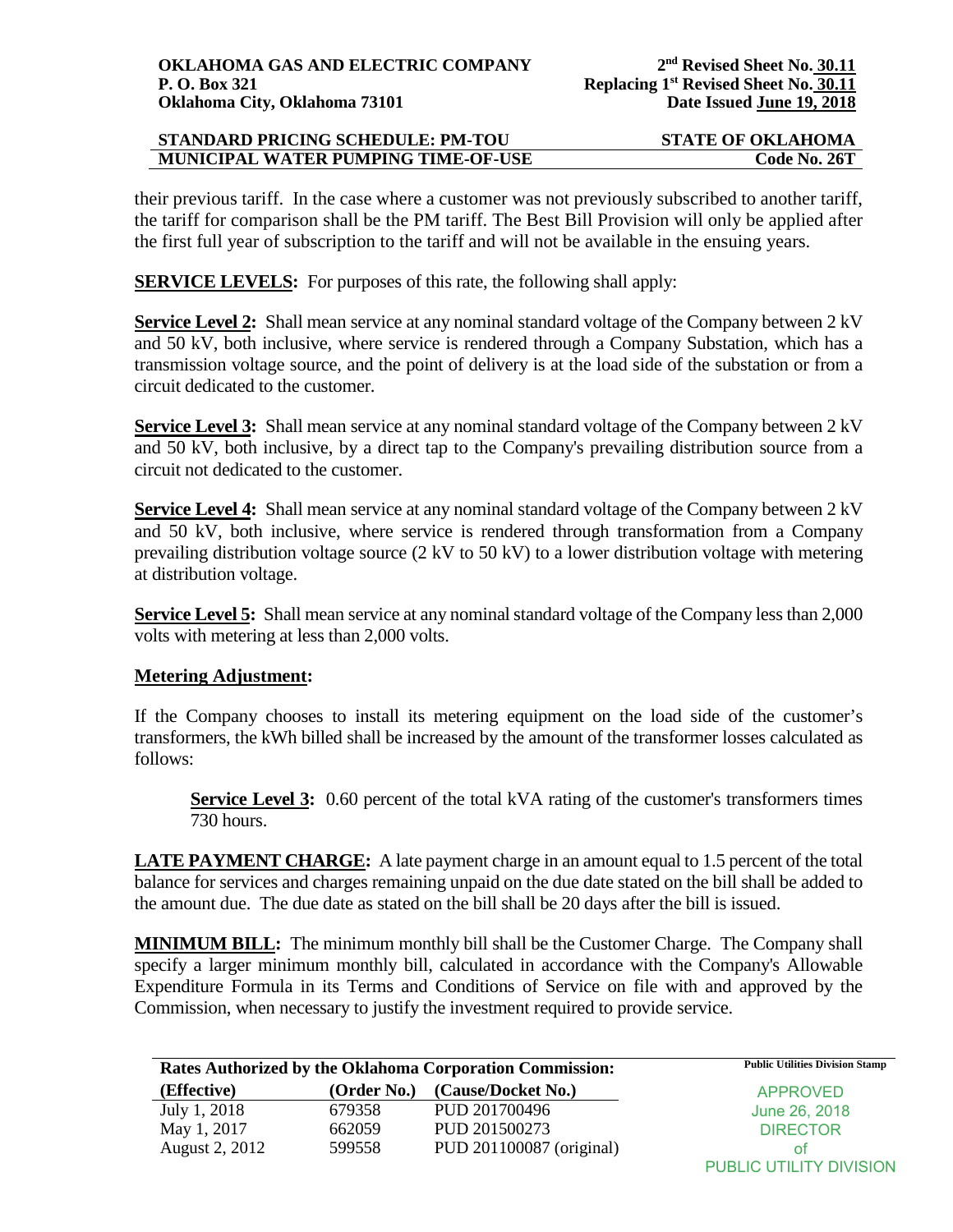# **STANDARD PRICING SCHEDULE: PM-TOU STATE OF OKLAHOMA MUNICIPAL WATER PUMPING TIME-OF-USE Code No. 26T**

their previous tariff. In the case where a customer was not previously subscribed to another tariff, the tariff for comparison shall be the PM tariff. The Best Bill Provision will only be applied after the first full year of subscription to the tariff and will not be available in the ensuing years.

**SERVICE LEVELS:** For purposes of this rate, the following shall apply:

**Service Level 2:** Shall mean service at any nominal standard voltage of the Company between 2 kV and 50 kV, both inclusive, where service is rendered through a Company Substation, which has a transmission voltage source, and the point of delivery is at the load side of the substation or from a circuit dedicated to the customer.

**Service Level 3:** Shall mean service at any nominal standard voltage of the Company between 2 kV and 50 kV, both inclusive, by a direct tap to the Company's prevailing distribution source from a circuit not dedicated to the customer.

**Service Level 4:** Shall mean service at any nominal standard voltage of the Company between 2 kV and 50 kV, both inclusive, where service is rendered through transformation from a Company prevailing distribution voltage source (2 kV to 50 kV) to a lower distribution voltage with metering at distribution voltage.

**Service Level 5:** Shall mean service at any nominal standard voltage of the Company less than 2,000 volts with metering at less than 2,000 volts.

## **Metering Adjustment:**

If the Company chooses to install its metering equipment on the load side of the customer's transformers, the kWh billed shall be increased by the amount of the transformer losses calculated as follows:

**Service Level 3:** 0.60 percent of the total kVA rating of the customer's transformers times 730 hours.

**LATE PAYMENT CHARGE:** A late payment charge in an amount equal to 1.5 percent of the total balance for services and charges remaining unpaid on the due date stated on the bill shall be added to the amount due. The due date as stated on the bill shall be 20 days after the bill is issued.

**MINIMUM BILL:** The minimum monthly bill shall be the Customer Charge. The Company shall specify a larger minimum monthly bill, calculated in accordance with the Company's Allowable Expenditure Formula in its Terms and Conditions of Service on file with and approved by the Commission, when necessary to justify the investment required to provide service.

|                       |             | Rates Authorized by the Oklahoma Corporation Commission: | <b>Public Utilities Division Stamp</b> |
|-----------------------|-------------|----------------------------------------------------------|----------------------------------------|
| (Effective)           | (Order No.) | (Cause/Docket No.)                                       | <b>APPROVED</b>                        |
| July 1, 2018          | 679358      | PUD 201700496                                            | June 26, 2018                          |
| May 1, 2017           | 662059      | PUD 201500273                                            | <b>DIRECTOR</b>                        |
| <b>August 2, 2012</b> | 599558      | PUD 201100087 (original)                                 | ΟŤ                                     |
|                       |             |                                                          | PUBLIC UTILITY DIVISION                |